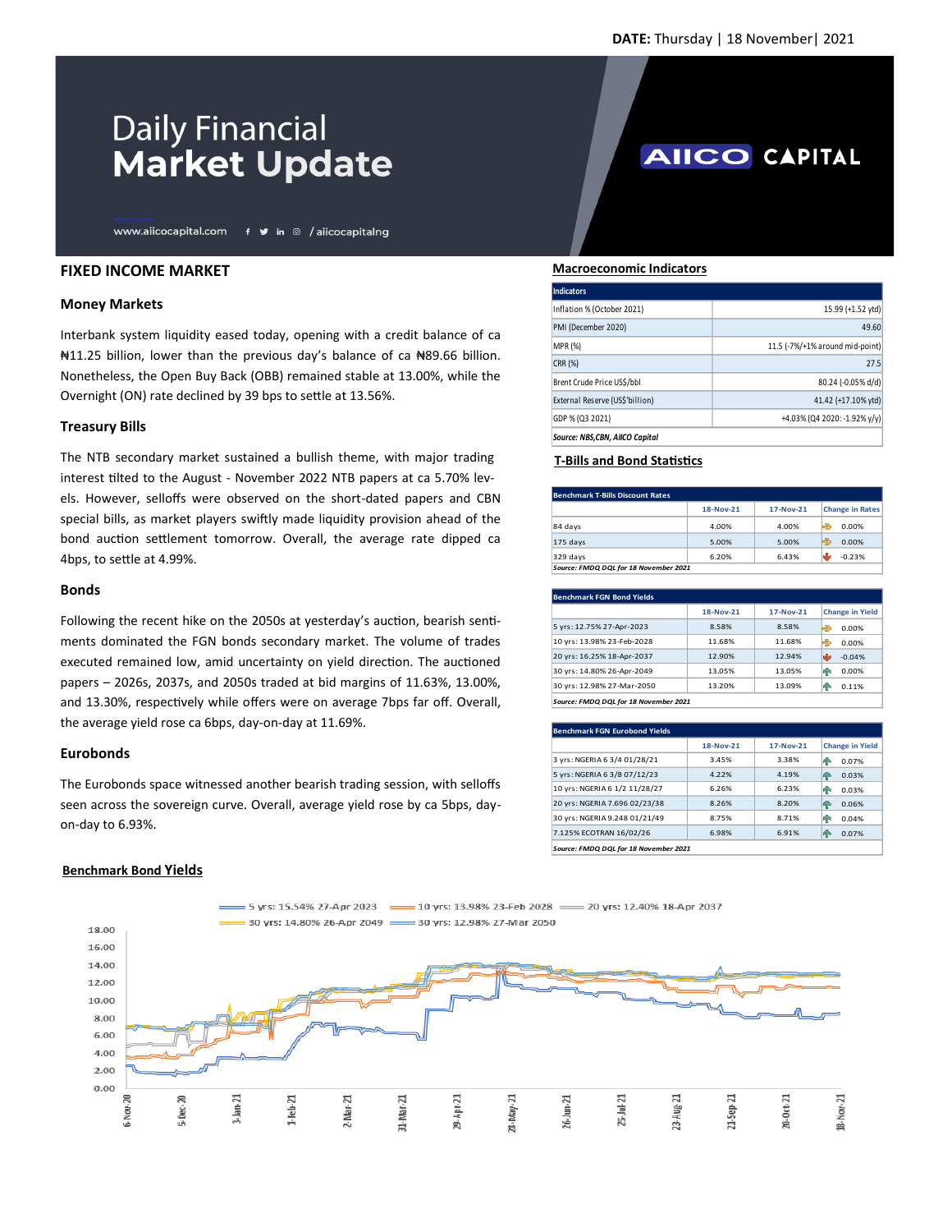# **Daily Financial Market Update**

www.aiicocapital.com f y in @ /aiicocapitalng

## **FIXED INCOME MARKET**

### **Money Markets**

Interbank system liquidity eased today, opening with a credit balance of ca ₦11.25 billion, lower than the previous day's balance of ca ₦89.66 billion. Nonetheless, the Open Buy Back (OBB) remained stable at 13.00%, while the Overnight (ON) rate declined by 39 bps to settle at 13.56%.

## **Treasury Bills**

The NTB secondary market sustained a bullish theme, with major trading interest tilted to the August - November 2022 NTB papers at ca 5.70% levels. However, selloffs were observed on the short-dated papers and CBN special bills, as market players swiftly made liquidity provision ahead of the bond auction settlement tomorrow. Overall, the average rate dipped ca 4bps, to settle at 4.99%.

### **Bonds**

Following the recent hike on the 2050s at yesterday's auction, bearish sentiments dominated the FGN bonds secondary market. The volume of trades executed remained low, amid uncertainty on yield direction. The auctioned papers – 2026s, 2037s, and 2050s traded at bid margins of 11.63%, 13.00%, and 13.30%, respectively while offers were on average 7bps far off. Overall, the average yield rose ca 6bps, day-on-day at 11.69%.

### **Eurobonds**

The Eurobonds space witnessed another bearish trading session, with selloffs seen across the sovereign curve. Overall, average yield rose by ca 5bps, dayon-day to 6.93%.

### **Benchmark Bond Yields**



# **AIICO CAPITAL**

 **Macroeconomic Indicators**

| Indicators                      |                                 |
|---------------------------------|---------------------------------|
| Inflation % (October 2021)      | 15.99 (+1.52 ytd)               |
| PMI (December 2020)             | 49.60                           |
| <b>MPR (%)</b>                  | 11.5 (-7%/+1% around mid-point) |
| CRR (%)                         | 27.5                            |
| Brent Crude Price US\$/bbl      | 80.24 (-0.05% d/d)              |
| External Reserve (US\$'billion) | 41.42 (+17.10% ytd)             |
| GDP % (Q3 2021)                 | +4.03% (Q4 2020: -1.92% y/y)    |
| Source: NBS.CBN. AIICO Capital  |                                 |

# **T-Bills and Bond Statistics**

| <b>Benchmark T-Bills Discount Rates</b> |           |             |                        |  |  |
|-----------------------------------------|-----------|-------------|------------------------|--|--|
|                                         | 18-Nov-21 | $17-Nov-21$ | <b>Change in Rates</b> |  |  |
| 84 days                                 | 4.00%     | 4.00%       | 0.00%<br>Ð             |  |  |
| $175$ days                              | 5.00%     | 5.00%       | Ð<br>0.00%             |  |  |
| $329$ days                              | 6.20%     | 6.43%       | $-0.23%$               |  |  |
| Source: FMDQ DQL for 18 November 2021   |           |             |                        |  |  |

| <b>Benchmark FGN Bond Yields</b> |           |             |                        |  |  |
|----------------------------------|-----------|-------------|------------------------|--|--|
|                                  | 18-Nov-21 | $17-Nov-21$ | <b>Change in Yield</b> |  |  |
| 5 yrs: 12.75% 27-Apr-2023        | 8.58%     | 8.58%       | HD.<br>0.00%           |  |  |
| 10 yrs: 13.98% 23-Feb-2028       | 11.68%    | 11.68%      | Ð<br>0.00%             |  |  |
| 20 yrs: 16.25% 18-Apr-2037       | 12.90%    | 12.94%      | $-0.04%$               |  |  |
| 30 yrs: 14.80% 26-Apr-2049       | 13.05%    | 13.05%      | ИΝ<br>0.00%            |  |  |
| 30 yrs: 12.98% 27-Mar-2050       | 13.20%    | 13.09%      | m<br>0.11%             |  |  |

| <b>Benchmark FGN Eurobond Yields</b>  |           |             |                        |  |
|---------------------------------------|-----------|-------------|------------------------|--|
|                                       | 18-Nov-21 | $17-Nov-21$ | <b>Change in Yield</b> |  |
| 3 yrs: NGERIA 6 3/4 01/28/21          | 3.45%     | 3.38%       | 0.07%<br>4P            |  |
| 5 yrs: NGERIA 6 3/8 07/12/23          | 4.22%     | 4.19%       | 0.03%<br>4P            |  |
| 10 yrs: NGERIA 6 1/2 11/28/27         | 6.26%     | 6.23%       | 0.03%<br>48            |  |
| 20 yrs: NGERIA 7.696 02/23/38         | 8.26%     | 8.20%       | 0.06%<br>4P            |  |
| 30 yrs: NGERIA 9.248 01/21/49         | 8.75%     | 8.71%       | 0.04%<br>ИP            |  |
| 7.125% ECOTRAN 16/02/26               | 6.98%     | 6.91%       | 0.07%<br>4             |  |
| Source: FMDQ DQL for 18 November 2021 |           |             |                        |  |